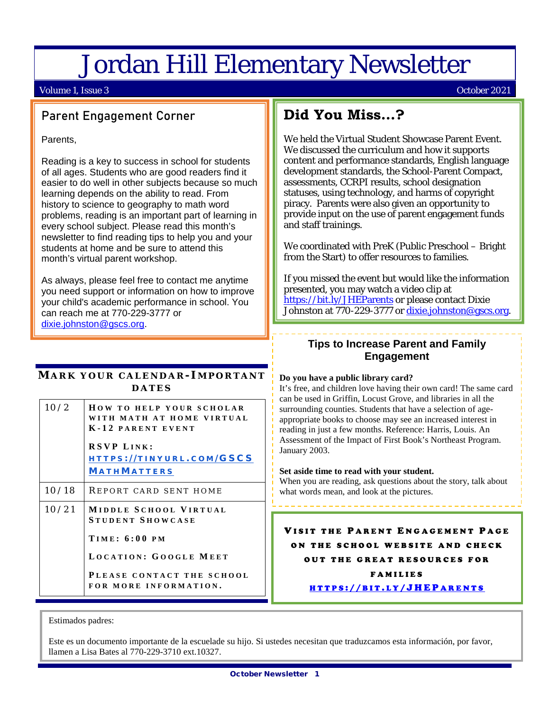# Jordan Hill Elementary Newsletter

#### Volume 1, Issue 3 October 2021

# Parent Engagement Corner

Parents,

Reading is a key to success in school for students of all ages. Students who are good readers find it easier to do well in other subjects because so much learning depends on the ability to read. From history to science to geography to math word problems, reading is an important part of learning in every school subject. Please read this month's newsletter to find reading tips to help you and your students at home and be sure to attend this month's virtual parent workshop.

As always, please feel free to contact me anytime you need support or information on how to improve your child's academic performance in school. You can reach me at 770-229-3777 or [dixie.johnston@gscs.org.](mailto:dixie.johnston@gscs.org)

#### **MARK YOUR CALENDAR - I MPORTANT DATES**

| 10/2  | <b>HOW TO HELP YOUR SCHOLAR</b><br>WITH MATH AT HOME VIRTUAL<br>K-12 PARENT EVENT<br><b>RSVP LINK:</b><br>HTTPS://TINYURL.COM/GSCS<br><b>MATHMATTERS</b> |
|-------|----------------------------------------------------------------------------------------------------------------------------------------------------------|
| 10/18 | REPORT CARD SENT HOME                                                                                                                                    |
| 10/21 | MIDDLE SCHOOL VIRTUAL<br><b>STUDENT SHOWCASE</b><br><b>TIME: 6:00 PM</b><br>LOCATION: GOOGLE MEET<br>PLEASE CONTACT THE SCHOOL<br>FOR MORE INFORMATION.  |

# **Did You Miss…?**

We held the Virtual Student Showcase Parent Event. We discussed the curriculum and how it supports content and performance standards, English language development standards, the School-Parent Compact, assessments, CCRPI results, school designation statuses, using technology, and harms of copyright piracy. Parents were also given an opportunity to provide input on the use of parent engagement funds and staff trainings.

We coordinated with PreK (Public Preschool – Bright from the Start) to offer resources to families.

If you missed the event but would like the information presented, you may watch a video clip at <https://bit.ly/JHEParents> or please contact Dixie Johnston at 770-229-3777 or [dixie.johnston@gscs.org.](mailto:dixie.johnston@gscs.org)

### **Tips to Increase Parent and Family Engagement**

#### **Do you have a public library card?**

It's free, and children love having their own card! The same card can be used in Griffin, Locust Grove, and libraries in all the surrounding counties. Students that have a selection of ageappropriate books to choose may see an increased interest in reading in just a few months. Reference: Harris, Louis. An Assessment of the Impact of First Book's Northeast Program. January 2003.

#### **Set aside time to read with your student.**

When you are reading, ask questions about the story, talk about what words mean, and look at the pictures.

VISIT THE PARENT ENGAGEMENT PAGE ON THE SCHOOL WEBSITE AND CHECK OUT THE GREAT RESOUR CES FOR FAMILIES HTTPS :// BIT . L Y [/JHEP](https://bit.ly/JHEParents) ARENTS

Estimados padres:

l

Este es un documento importante de la escuelade su hijo. Si ustedes necesitan que traduzcamos esta información, por favor, llamen a Lisa Bates al 770-229-3710 ext.10327.